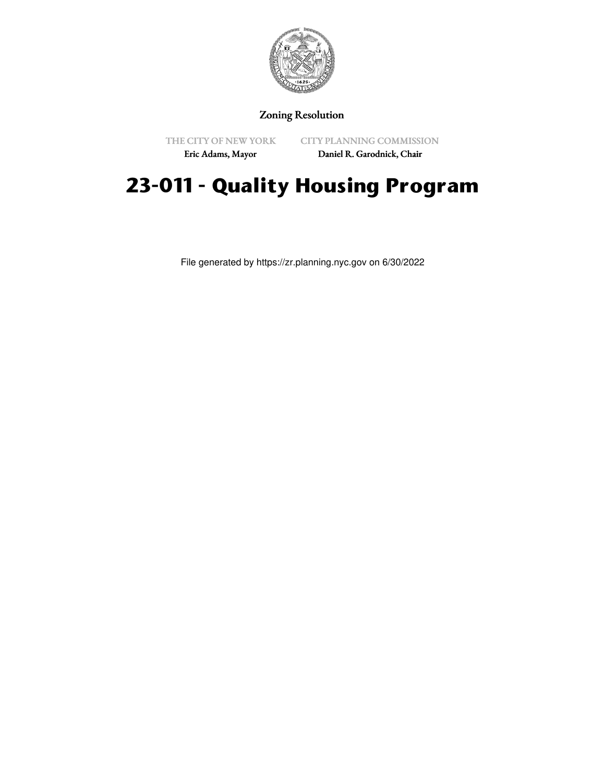

# Zoning Resolution

THE CITY OF NEW YORK Eric Adams, Mayor

CITY PLANNING COMMISSION

Daniel R. Garodnick, Chair

# **23-011 - Quality Housing Program**

File generated by https://zr.planning.nyc.gov on 6/30/2022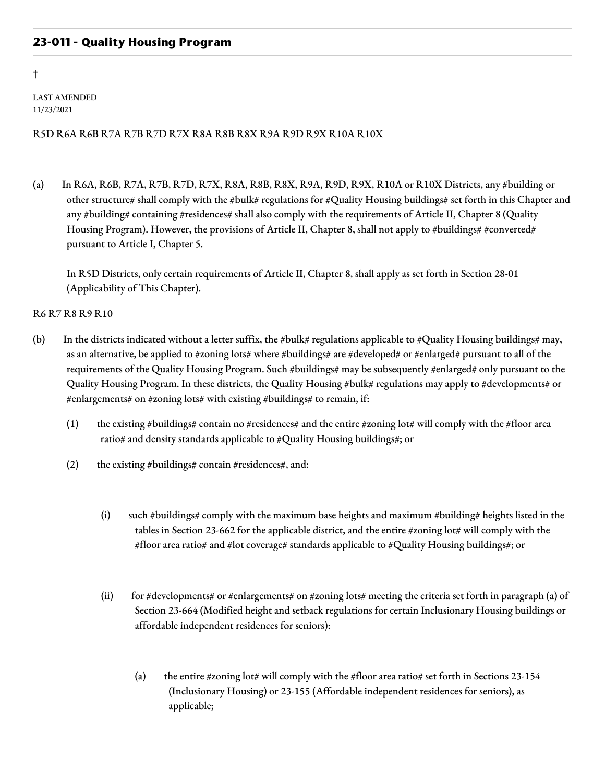# **23-011 - Quality Housing Program**

†

LAST AMENDED 11/23/2021

# R5D R6A R6B R7A R7B R7D R7X R8A R8B R8X R9A R9D R9X R10A R10X

(a) In R6A, R6B, R7A, R7B, R7D, R7X, R8A, R8B, R8X, R9A, R9D, R9X, R10A or R10X Districts, any #building or other structure# shall comply with the #bulk# regulations for #Quality Housing buildings# set forth in this Chapter and any #building# containing #residences# shall also comply with the requirements of Article II, Chapter 8 (Quality Housing Program). However, the provisions of Article II, Chapter 8, shall not apply to #buildings# #converted# pursuant to Article I, Chapter 5.

In R5D Districts, only certain requirements of Article II, Chapter 8, shall apply as set forth in Section 28-01 (Applicability of This Chapter).

#### R6 R7 R8 R9 R10

- (b) In the districts indicated without a letter suffix, the #bulk# regulations applicable to #Quality Housing buildings# may, as an alternative, be applied to #zoning lots# where #buildings# are #developed# or #enlarged# pursuant to all of the requirements of the Quality Housing Program. Such #buildings# may be subsequently #enlarged# only pursuant to the Quality Housing Program. In these districts, the Quality Housing #bulk# regulations may apply to #developments# or #enlargements# on #zoning lots# with existing #buildings# to remain, if:
	- (1) the existing #buildings# contain no #residences# and the entire #zoning lot# will comply with the #floor area ratio# and density standards applicable to #Quality Housing buildings#; or
	- (2) the existing #buildings# contain #residences#, and:
		- (i) such #buildings# comply with the maximum base heights and maximum #building# heights listed in the tables in Section 23-662 for the applicable district, and the entire #zoning lot# will comply with the #floor area ratio# and #lot coverage# standards applicable to #Quality Housing buildings#; or
		- (ii) for #developments# or #enlargements# on #zoning lots# meeting the criteria set forth in paragraph (a) of Section 23-664 (Modified height and setback regulations for certain Inclusionary Housing buildings or affordable independent residences for seniors):
			- (a) the entire #zoning lot# will comply with the #floor area ratio# set forth in Sections  $23-154$ (Inclusionary Housing) or 23-155 (Affordable independent residences for seniors), as applicable;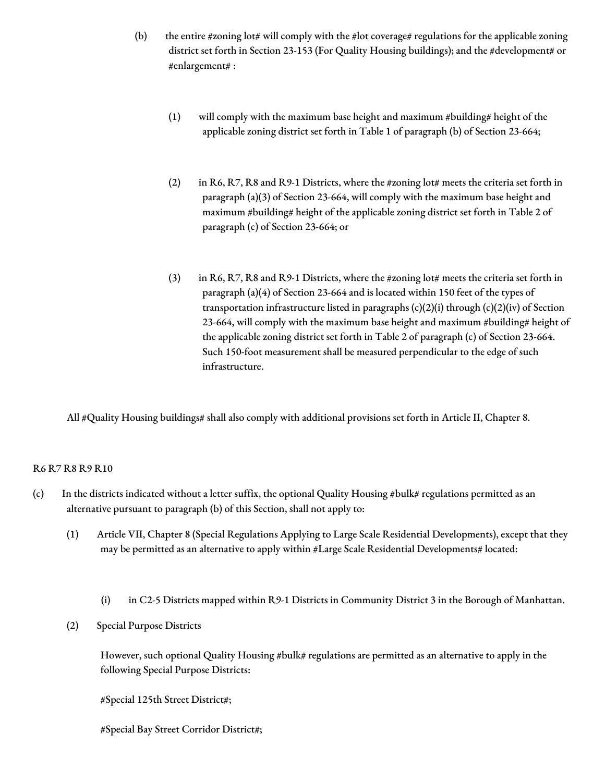- (b) the entire #zoning lot# will comply with the #lot coverage# regulations for the applicable zoning district set forth in Section 23-153 (For Quality Housing buildings); and the #development# or #enlargement# :
	- (1) will comply with the maximum base height and maximum #building# height of the applicable zoning district set forth in Table 1 of paragraph (b) of Section 23-664;
	- (2) in R6, R7, R8 and R9-1 Districts, where the #zoning lot# meets the criteria set forth in paragraph (a)(3) of Section 23-664, will comply with the maximum base height and maximum #building# height of the applicable zoning district set forth in Table 2 of paragraph (c) of Section 23-664; or
	- (3) in R6, R7, R8 and R9-1 Districts, where the #zoning lot# meets the criteria set forth in paragraph (a)(4) of Section 23-664 and is located within 150 feet of the types of transportation infrastructure listed in paragraphs  $(c)(2)(i)$  through  $(c)(2)(iv)$  of Section 23-664, will comply with the maximum base height and maximum #building# height of the applicable zoning district set forth in Table 2 of paragraph (c) of Section 23-664. Such 150-foot measurement shall be measured perpendicular to the edge of such infrastructure.

All #Quality Housing buildings# shall also comply with additional provisions set forth in Article II, Chapter 8.

## R6 R7 R8 R9 R10

- (c) In the districts indicated without a letter suffix, the optional Quality Housing  $\#$ bulk $\#$  regulations permitted as an alternative pursuant to paragraph (b) of this Section, shall not apply to:
	- (1) Article VII, Chapter 8 (Special Regulations Applying to Large Scale Residential Developments), except that they may be permitted as an alternative to apply within #Large Scale Residential Developments# located:
		- (i) in C2-5 Districts mapped within R9-1 Districts in Community District 3 in the Borough of Manhattan.
	- (2) Special Purpose Districts

However, such optional Quality Housing #bulk# regulations are permitted as an alternative to apply in the following Special Purpose Districts:

#Special 125th Street District#;

#Special Bay Street Corridor District#;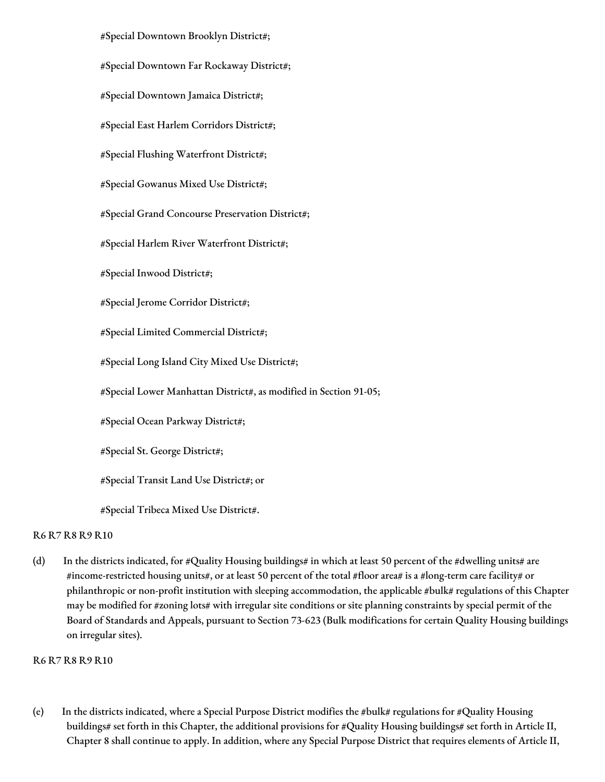#Special Downtown Brooklyn District#; #Special Downtown Far Rockaway District#; #Special Downtown Jamaica District#; #Special East Harlem Corridors District#; #Special Flushing Waterfront District#; #Special Gowanus Mixed Use District#; #Special Grand Concourse Preservation District#; #Special Harlem River Waterfront District#; #Special Inwood District#; #Special Jerome Corridor District#; #Special Limited Commercial District#; #Special Long Island City Mixed Use District#; #Special Lower Manhattan District#, as modified in Section 91-05; #Special Ocean Parkway District#; #Special St. George District#; #Special Transit Land Use District#; or #Special Tribeca Mixed Use District#.

## R6 R7 R8 R9 R10

(d) In the districts indicated, for #Quality Housing buildings# in which at least 50 percent of the #dwelling units# are #income-restricted housing units#, or at least 50 percent of the total #floor area# is a #long-term care facility# or philanthropic or non-profit institution with sleeping accommodation, the applicable #bulk# regulations of this Chapter may be modified for #zoning lots# with irregular site conditions or site planning constraints by special permit of the Board of Standards and Appeals, pursuant to Section 73-623 (Bulk modifications for certain Quality Housing buildings on irregular sites).

## R6 R7 R8 R9 R10

(e) In the districts indicated, where a Special Purpose District modifies the #bulk# regulations for #Quality Housing buildings# set forth in this Chapter, the additional provisions for #Quality Housing buildings# set forth in Article II, Chapter 8 shall continue to apply. In addition, where any Special Purpose District that requires elements of Article II,